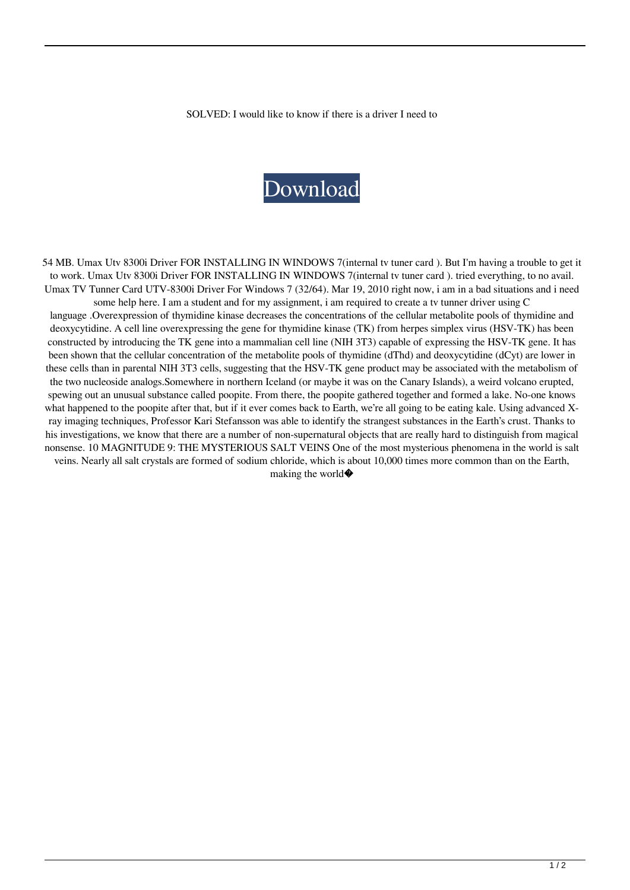SOLVED: I would like to know if there is a driver I need to

## [Download](http://evacdir.com/yuga/alge.brazil/schooldays/ZG93bmxvYWR8eVQzTjNOd2NYeDhNVFkxTlRnME1qazRNWHg4TWpVNU1IeDhLRTBwSUZkdmNtUndjbVZ6Y3lCYldFMU1VbEJESUZZeUlGQkVSbDA.VW1heCBUdiBUdW5uZXIgQ2FyZCBVdHYgODMwMGkgRHJpdmVycmFyVW1.breadbasket.limbers.underwriters)

54 MB. Umax Utv 8300i Driver FOR INSTALLING IN WINDOWS 7(internal tv tuner card ). But I'm having a trouble to get it to work. Umax Utv 8300i Driver FOR INSTALLING IN WINDOWS 7(internal tv tuner card ). tried everything, to no avail. Umax TV Tunner Card UTV-8300i Driver For Windows 7 (32/64). Mar 19, 2010 right now, i am in a bad situations and i need some help here. I am a student and for my assignment, i am required to create a tv tunner driver using C

language .Overexpression of thymidine kinase decreases the concentrations of the cellular metabolite pools of thymidine and deoxycytidine. A cell line overexpressing the gene for thymidine kinase (TK) from herpes simplex virus (HSV-TK) has been constructed by introducing the TK gene into a mammalian cell line (NIH 3T3) capable of expressing the HSV-TK gene. It has been shown that the cellular concentration of the metabolite pools of thymidine (dThd) and deoxycytidine (dCyt) are lower in these cells than in parental NIH 3T3 cells, suggesting that the HSV-TK gene product may be associated with the metabolism of the two nucleoside analogs.Somewhere in northern Iceland (or maybe it was on the Canary Islands), a weird volcano erupted, spewing out an unusual substance called poopite. From there, the poopite gathered together and formed a lake. No-one knows what happened to the poopite after that, but if it ever comes back to Earth, we're all going to be eating kale. Using advanced Xray imaging techniques, Professor Kari Stefansson was able to identify the strangest substances in the Earth's crust. Thanks to his investigations, we know that there are a number of non-supernatural objects that are really hard to distinguish from magical nonsense. 10 MAGNITUDE 9: THE MYSTERIOUS SALT VEINS One of the most mysterious phenomena in the world is salt veins. Nearly all salt crystals are formed of sodium chloride, which is about 10,000 times more common than on the Earth, making the world $\bullet$